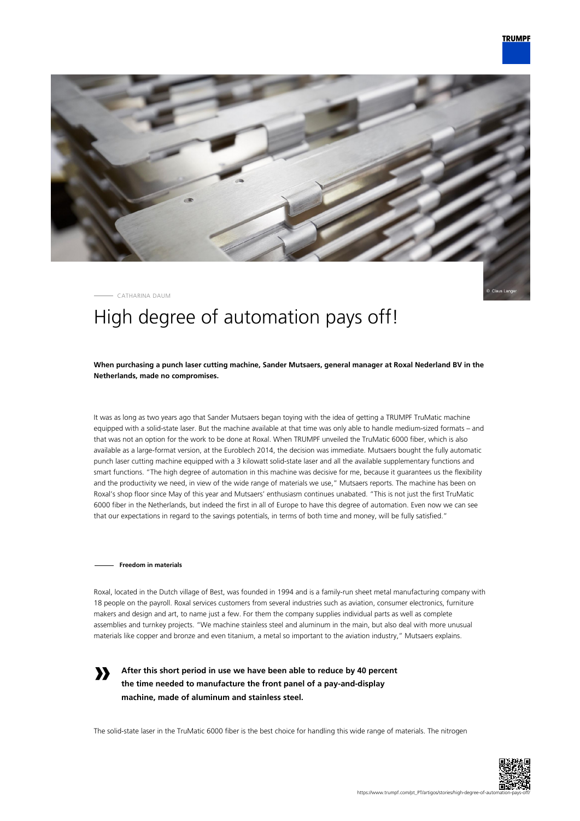

CATHARINA DAUM

# High degree of automation pays off!

**When purchasing a punch laser cutting machine, Sander Mutsaers, general manager at Roxal Nederland BV in the Netherlands, made no compromises.**

It was as long as two years ago that Sander Mutsaers began toying with the idea of getting a TRUMPF TruMatic machine equipped with a solid-state laser. But the machine available at that time was only able to handle medium-sized formats – and that was not an option for the work to be done at Roxal. When TRUMPF unveiled the TruMatic 6000 fiber, which is also available as a large-format version, at the Euroblech 2014, the decision was immediate. Mutsaers bought the fully automatic punch laser cutting machine equipped with a 3 kilowatt solid-state laser and all the available supplementary functions and smart functions. "The high degree of automation in this machine was decisive for me, because it guarantees us the flexibility and the productivity we need, in view of the wide range of materials we use," Mutsaers reports. The machine has been on Roxal's shop floor since May of this year and Mutsaers' enthusiasm continues unabated. "This is not just the first TruMatic 6000 fiber in the Netherlands, but indeed the first in all of Europe to have this degree of automation. Even now we can see that our expectations in regard to the savings potentials, in terms of both time and money, will be fully satisfied."

#### **Freedom in materials**

**»**

Roxal, located in the Dutch village of Best, was founded in 1994 and is a family-run sheet metal manufacturing company with 18 people on the payroll. Roxal services customers from several industries such as aviation, consumer electronics, furniture makers and design and art, to name just a few. For them the company supplies individual parts as well as complete assemblies and turnkey projects. "We machine stainless steel and aluminum in the main, but also deal with more unusual materials like copper and bronze and even titanium, a metal so important to the aviation industry," Mutsaers explains.

**After this short period in use we have been able to reduce by 40 percent the time needed to manufacture the front panel of a pay-and-display machine, made of aluminum and stainless steel.**

The solid-state laser in the TruMatic 6000 fiber is the best choice for handling this wide range of materials. The nitrogen

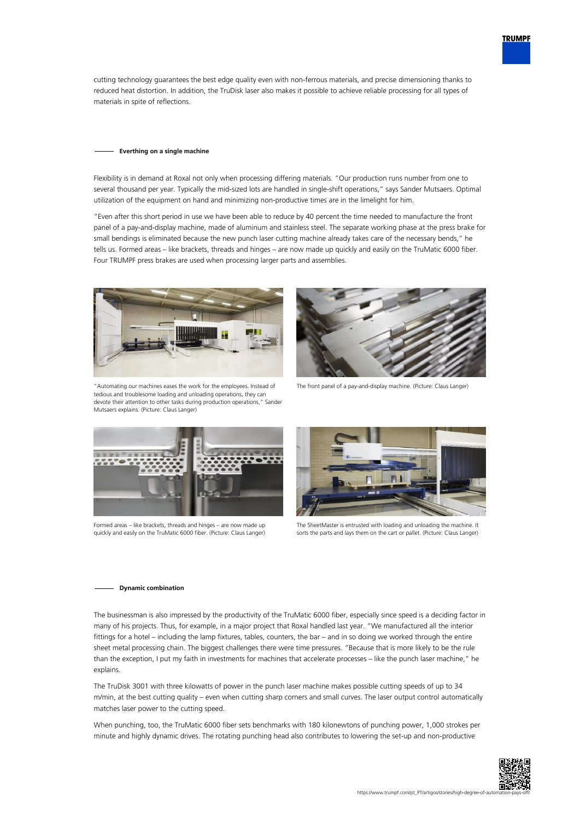cutting technology guarantees the best edge quality even with non-ferrous materials, and precise dimensioning thanks to reduced heat distortion. In addition, the TruDisk laser also makes it possible to achieve reliable processing for all types of materials in spite of reflections.

#### **Everthing on a single machine**

Flexibility is in demand at Roxal not only when processing differing materials. "Our production runs number from one to several thousand per year. Typically the mid-sized lots are handled in single-shift operations," says Sander Mutsaers. Optimal utilization of the equipment on hand and minimizing non-productive times are in the limelight for him.

"Even after this short period in use we have been able to reduce by 40 percent the time needed to manufacture the front panel of a pay-and-display machine, made of aluminum and stainless steel. The separate working phase at the press brake for small bendings is eliminated because the new punch laser cutting machine already takes care of the necessary bends," he tells us. Formed areas – like brackets, threads and hinges – are now made up quickly and easily on the TruMatic 6000 fiber. Four TRUMPF press brakes are used when processing larger parts and assemblies.



"Automating our machines eases the work for the employees. Instead of tedious and troublesome loading and unloading operations, they can devote their attention to other tasks during production operations," Sander Mutsaers explains. (Picture: Claus Langer)



The front panel of a pay-and-display machine. (Picture: Claus Langer)



Formed areas – like brackets, threads and hinges – are now made up quickly and easily on the TruMatic 6000 fiber. (Picture: Claus Langer)



The SheetMaster is entrusted with loading and unloading the machine. It sorts the parts and lays them on the cart or pallet. (Picture: Claus Langer)

### **Dynamic combination**

The businessman is also impressed by the productivity of the TruMatic 6000 fiber, especially since speed is a deciding factor in many of his projects. Thus, for example, in a major project that Roxal handled last year. "We manufactured all the interior fittings for a hotel – including the lamp fixtures, tables, counters, the bar – and in so doing we worked through the entire sheet metal processing chain. The biggest challenges there were time pressures. "Because that is more likely to be the rule than the exception, I put my faith in investments for machines that accelerate processes – like the punch laser machine," he explains.

The TruDisk 3001 with three kilowatts of power in the punch laser machine makes possible cutting speeds of up to 34 m/min, at the best cutting quality – even when cutting sharp corners and small curves. The laser output control automatically matches laser power to the cutting speed.

When punching, too, the TruMatic 6000 fiber sets benchmarks with 180 kilonewtons of punching power, 1,000 strokes per minute and highly dynamic drives. The rotating punching head also contributes to lowering the set-up and non-productive



**TRUMPF**